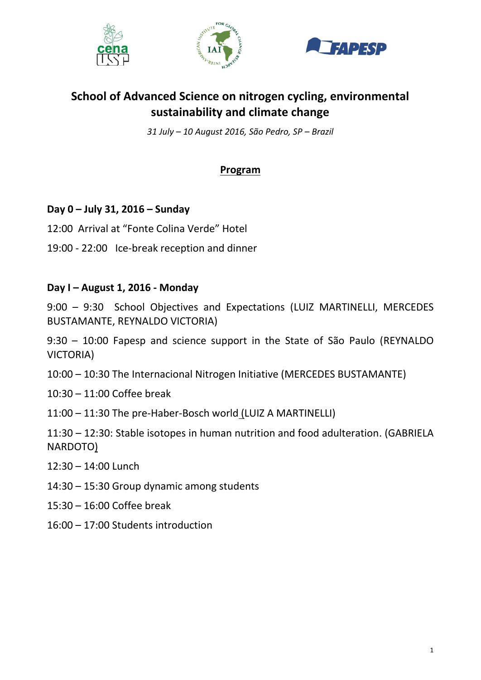





# **School of Advanced Science on nitrogen cycling, environmental sustainability and climate change**

*31 July – 10 August 2016, São Pedro, SP – Brazil*

# **Program**

## **Day 0 – July 31, 2016 – Sunday**

- 12:00 Arrival at "Fonte Colina Verde" Hotel
- 19:00 22:00 Ice-break reception and dinner

#### **Day I – August 1, 2016 - Monday**

9:00 – 9:30 School Objectives and Expectations (LUIZ MARTINELLI, MERCEDES BUSTAMANTE, REYNALDO VICTORIA)

9:30 – 10:00 Fapesp and science support in the State of São Paulo (REYNALDO VICTORIA)

- 10:00 10:30 The Internacional Nitrogen Initiative (MERCEDES BUSTAMANTE)
- 10:30 11:00 Coffee break
- 11:00 11:30 The pre-Haber-Bosch world (LUIZ A MARTINELLI)

11:30 – 12:30: Stable isotopes in human nutrition and food adulteration. (GABRIELA NARDOTO)

- 12:30 14:00 Lunch
- 14:30 15:30 Group dynamic among students
- 15:30 16:00 Coffee break
- 16:00 17:00 Students introduction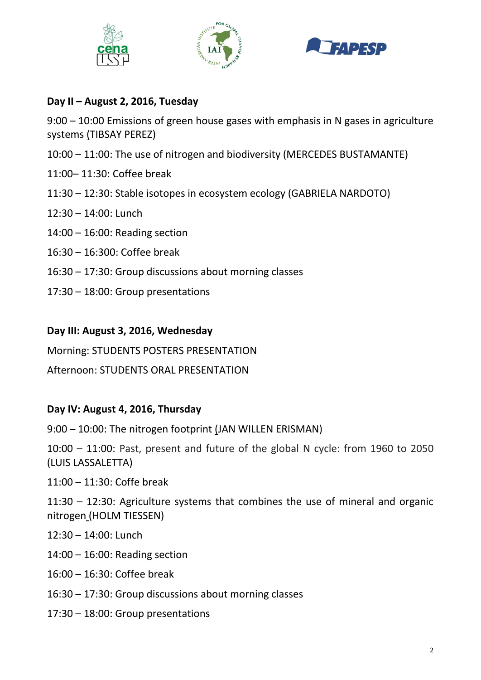





# **Day II – August 2, 2016, Tuesday**

9:00 – 10:00 Emissions of green house gases with emphasis in N gases in agriculture systems (TIBSAY PEREZ)

- 10:00 11:00: The use of nitrogen and biodiversity (MERCEDES BUSTAMANTE)
- 11:00– 11:30: Coffee break
- 11:30 12:30: Stable isotopes in ecosystem ecology (GABRIELA NARDOTO)
- 12:30 14:00: Lunch
- 14:00 16:00: Reading section
- 16:30 16:300: Coffee break
- 16:30 17:30: Group discussions about morning classes
- 17:30 18:00: Group presentations

## **Day III: August 3, 2016, Wednesday**

Morning: STUDENTS POSTERS PRESENTATION

Afternoon: STUDENTS ORAL PRESENTATION

#### **Day IV: August 4, 2016, Thursday**

9:00 – 10:00: The nitrogen footprint (JAN WILLEN ERISMAN)

10:00 – 11:00: Past, present and future of the global N cycle: from 1960 to 2050 (LUIS LASSALETTA)

11:00 – 11:30: Coffe break

11:30 – 12:30: Agriculture systems that combines the use of mineral and organic nitrogen (HOLM TIESSEN)

- 12:30 14:00: Lunch
- 14:00 16:00: Reading section
- 16:00 16:30: Coffee break
- 16:30 17:30: Group discussions about morning classes
- 17:30 18:00: Group presentations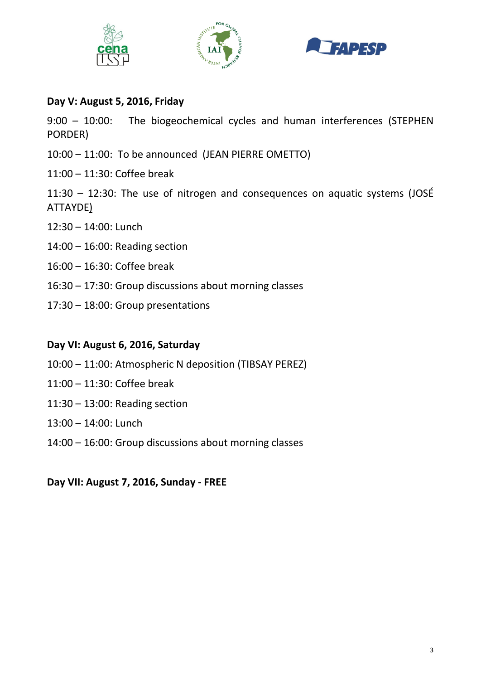





# **Day V: August 5, 2016, Friday**

9:00 – 10:00: The biogeochemical cycles and human interferences (STEPHEN PORDER)

- 10:00 11:00: To be announced (JEAN PIERRE OMETTO)
- 11:00 11:30: Coffee break

11:30 – 12:30: The use of nitrogen and consequences on aquatic systems (JOSÉ ATTAYDE)

- 12:30 14:00: Lunch
- 14:00 16:00: Reading section
- 16:00 16:30: Coffee break
- 16:30 17:30: Group discussions about morning classes
- 17:30 18:00: Group presentations

#### **Day VI: August 6, 2016, Saturday**

- 10:00 11:00: Atmospheric N deposition (TIBSAY PEREZ)
- 11:00 11:30: Coffee break
- 11:30 13:00: Reading section
- 13:00 14:00: Lunch
- 14:00 16:00: Group discussions about morning classes

**Day VII: August 7, 2016, Sunday - FREE**